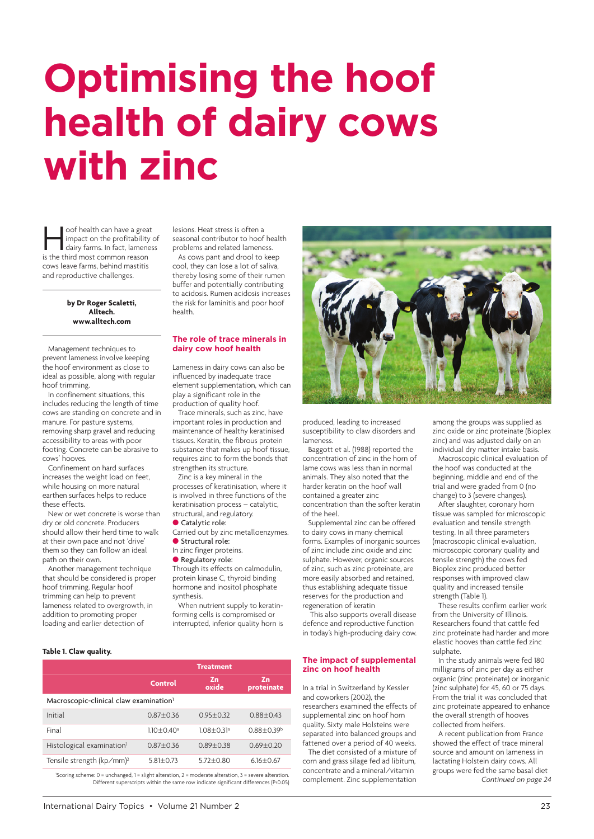## **Optimising the hoof health of dairy cows with zinc**

oof health can have a great<br>
impact on the profitability of<br>
dairy farms. In fact, lameness<br>
is the third most common reason impact on the profitability of is the third most common reason cows leave farms, behind mastitis and reproductive challenges.

> **by Dr Roger Scaletti, Alltech. www.alltech.com**

Management techniques to prevent lameness involve keeping the hoof [environment as clo](http://www.alltech.com)se to ideal as possible, along with regular hoof trimming.

In confinement situations, this includes reducing the length of time cows are standing on concrete and in manure. For pasture systems, removing sharp gravel and reducing accessibility to areas with poor footing. Concrete can be abrasive to cows' hooves.

Confinement on hard surfaces increases the weight load on feet, while housing on more natural earthen surfaces helps to reduce these effects.

New or wet concrete is worse than dry or old concrete. Producers should allow their herd time to walk at their own pace and not 'drive' them so they can follow an ideal path on their own.

Another management technique that should be considered is proper hoof trimming. Regular hoof trimming can help to prevent lameness related to overgrowth, in addition to promoting proper loading and earlier detection of

lesions. Heat stress is often a seasonal contributor to hoof health problems and related lameness.

As cows pant and drool to keep cool, they can lose a lot of saliva, thereby losing some of their rumen buffer and potentially contributing to acidosis. Rumen acidosis increases the risk for laminitis and poor hoof health.

## **The role of trace minerals in dairy cow hoof health**

Lameness in dairy cows can also be influenced by inadequate trace element supplementation, which can play a significant role in the production of quality hoof.

Trace minerals, such as zinc, have important roles in production and maintenance of healthy keratinised tissues. Keratin, the fibrous protein substance that makes up hoof tissue, requires zinc to form the bonds that strengthen its structure.

Zinc is a key mineral in the processes of keratinisation, where it is involved in three functions of the keratinisation process – catalytic, structural, and regulatory.

Catalytic role:

Carried out by zinc metalloenzymes. **Structural role:** 

- In zinc finger proteins.
- **Regulatory role:**

Through its effects on calmodulin, protein kinase C, thyroid binding hormone and inositol phosphate synthesis.

When nutrient supply to keratinforming cells is compromised or interrupted, inferior quality horn is



produced, leading to increased susceptibility to claw disorders and lameness.

Baggott et al. (1988) reported the concentration of zinc in the horn of lame cows was less than in normal animals. They also noted that the harder keratin on the hoof wall contained a greater zinc concentration than the softer keratin of the heel.

Supplemental zinc can be offered to dairy cows in many chemical forms. Examples of inorganic sources of zinc include zinc oxide and zinc sulphate. However, organic sources of zinc, such as zinc proteinate, are more easily absorbed and retained, thus establishing adequate tissue reserves for the production and regeneration of keratin

 This also supports overall disease defence and reproductive function in today's high-producing dairy cow.

## **The impact of supplemental zinc on hoof health**

In a trial in Switzerland by Kessler and coworkers (2002), the researchers examined the effects of supplemental zinc on hoof horn quality. Sixty male Holsteins were separated into balanced groups and fattened over a period of 40 weeks.

The diet consisted of a mixture of corn and grass silage fed ad libitum, concentrate and a mineral/vitamin complement. Zinc supplementation among the groups was supplied as zinc oxide or zinc proteinate (Bioplex zinc) and was adjusted daily on an individual dry matter intake basis.

Macroscopic clinical evaluation of the hoof was conducted at the beginning, middle and end of the trial and were graded from 0 (no change) to 3 (severe changes).

After slaughter, coronary horn tissue was sampled for microscopic evaluation and tensile strength testing. In all three parameters (macroscopic clinical evaluation, microscopic coronary quality and tensile strength) the cows fed Bioplex zinc produced better responses with improved claw quality and increased tensile strength (Table 1).

These results confirm earlier work from the University of Illinois. Researchers found that cattle fed zinc proteinate had harder and more elastic hooves than cattle fed zinc sulphate.

In the study animals were fed 180 milligrams of zinc per day as either organic (zinc proteinate) or inorganic (zinc sulphate) for 45, 60 or 75 days. From the trial it was concluded that zinc proteinate appeared to enhance the overall strength of hooves collected from heifers.

A recent publication from France showed the effect of trace mineral source and amount on lameness in lactating Holstein dairy cows. All groups were fed the same basal diet *Continued on page 24*

## **Table 1. Claw quality.**

|                                                                                                                                                                                                        | <b>Treatment</b> |                            |                  |  |
|--------------------------------------------------------------------------------------------------------------------------------------------------------------------------------------------------------|------------------|----------------------------|------------------|--|
|                                                                                                                                                                                                        | <b>Control</b>   | Zn<br>oxide                | Zn<br>proteinate |  |
| Macroscopic-clinical claw examination <sup>1</sup>                                                                                                                                                     |                  |                            |                  |  |
| Initial                                                                                                                                                                                                | $0.87 + 0.36$    | $0.95 + 0.32$              | $0.88 + 0.43$    |  |
| Final                                                                                                                                                                                                  | $1.10 + 0.40^a$  | $1.08 + 0.31$ <sup>a</sup> | $0.88 + 0.39b$   |  |
| Histological examination <sup>1</sup>                                                                                                                                                                  | $0.87 + 0.36$    | $0.89 + 0.38$              | $0.69 + 0.20$    |  |
| Tensile strength (kp/mm) <sup>2</sup>                                                                                                                                                                  | $5.81 + 0.73$    | $5.72 + 0.80$              | $6.16 \pm 0.67$  |  |
| 'Scoring scheme: $0 =$ unchanged, $1 =$ slight alteration, $2 =$ moderate alteration, $3 =$ severe alteration.<br>Different superscripts within the same row indicate significant differences (P<0.05) |                  |                            |                  |  |